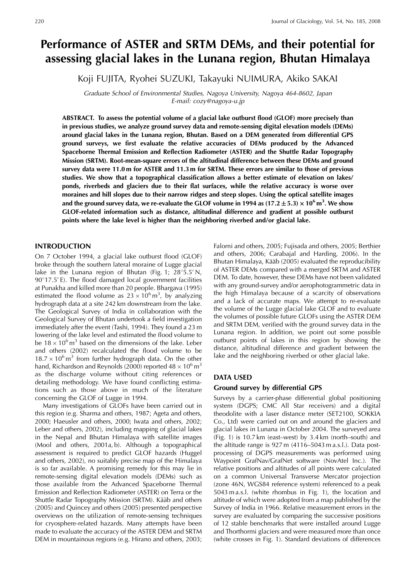# **Performance of ASTER and SRTM DEMs, and their potential for assessing glacial lakes in the Lunana region, Bhutan Himalaya**

Koji FUJITA, Ryohei SUZUKI, Takayuki NUIMURA, Akiko SAKAI

Graduate School of Environmental Studies, Nagoya University, Nagoya 464-8602, Japan E-mail: cozy@nagoya-u.jp

**ABSTRACT. To assess the potential volume of a glacial lake outburst flood (GLOF) more precisely than in previous studies, we analyze ground survey data and remote-sensing digital elevation models (DEMs) around glacial lakes in the Lunana region, Bhutan. Based on a DEM generated from differential GPS ground surveys, we first evaluate the relative accuracies of DEMs produced by the Advanced Spaceborne Thermal Emission and Reflection Radiometer (ASTER) and the Shuttle Radar Topography Mission (SRTM). Root-mean-square errors of the altitudinal difference between these DEMs and ground survey data were 11.0 m for ASTER and 11.3 m for SRTM. These errors are similar to those of previous studies. We show that a topographical classification allows a better estimate of elevation on lakes/ ponds, riverbeds and glaciers due to their flat surfaces, while the relative accuracy is worse over moraines and hill slopes due to their narrow ridges and steep slopes. Using the optical satellite images** and the ground survey data, we re-evaluate the GLOF volume in 1994 as  $(17.2 \pm 5.3) \times 10^6 \,\text{m}^3$ . We show **GLOF-related information such as distance, altitudinal difference and gradient at possible outburst points where the lake level is higher than the neighboring riverbed and/or glacial lake.**

## **INTRODUCTION**

On 7 October 1994, a glacial lake outburst flood (GLOF) broke through the southern lateral moraine of Lugge glacial lake in the Lunana region of Bhutan (Fig. 1;  $28^{\circ}5.5'$  N,  $90^{\circ}$ 17.5' E). The flood damaged local government facilities at Punakha and killed more than 20 people. Bhargava (1995) estimated the flood volume as  $23 \times 10^6 \text{ m}^3$ , by analyzing hydrograph data at a site 242 km downstream from the lake. The Geological Survey of India in collaboration with the Geological Survey of Bhutan undertook a field investigation immediately after the event (Tashi, 1994). They found a 23 m lowering of the lake level and estimated the flood volume to be  $18 \times 10^6$  m<sup>3</sup> based on the dimensions of the lake. Leber and others (2002) recalculated the flood volume to be  $18.7 \times 10^6$  m<sup>3</sup> from further hydrograph data. On the other hand, Richardson and Reynolds (2000) reported  $48 \times 10^6$  m<sup>3</sup> as the discharge volume without citing references or detailing methodology. We have found conflicting estimations such as those above in much of the literature concerning the GLOF of Lugge in 1994.

Many investigations of GLOFs have been carried out in this region (e.g. Sharma and others, 1987; Ageta and others, 2000; Haeusler and others, 2000; Iwata and others, 2002; Leber and others, 2002), including mapping of glacial lakes in the Nepal and Bhutan Himalaya with satellite images (Mool and others, 2001a, b). Although a topographical assessment is required to predict GLOF hazards (Huggel and others, 2002), no suitably precise map of the Himalaya is so far available. A promising remedy for this may lie in remote-sensing digital elevation models (DEMs) such as those available from the Advanced Spaceborne Thermal Emission and Reflection Radiometer (ASTER) on Terra or the Shuttle Radar Topography Mission (SRTM). Kääb and others (2005) and Quincey and others (2005) presented perspective overviews on the utilization of remote-sensing techniques for cryosphere-related hazards. Many attempts have been made to evaluate the accuracy of the ASTER DEM and SRTM DEM in mountainous regions (e.g. Hirano and others, 2003;

Falorni and others, 2005; Fujisada and others, 2005; Berthier and others, 2006; Carabajal and Harding, 2006). In the Bhutan Himalaya, Kääb (2005) evaluated the reproducibility of ASTER DEMs compared with a merged SRTM and ASTER DEM. To date, however, these DEMs have not been validated with any ground-survey and/or aerophotogrammetric data in the high Himalaya because of a scarcity of observations and a lack of accurate maps. We attempt to re-evaluate the volume of the Lugge glacial lake GLOF and to evaluate the volumes of possible future GLOFs using the ASTER DEM and SRTM DEM, verified with the ground survey data in the Lunana region. In addition, we point out some possible outburst points of lakes in this region by showing the distance, altitudinal difference and gradient between the lake and the neighboring riverbed or other glacial lake.

## **DATA USED**

## **Ground survey by differential GPS**

Surveys by a carrier-phase differential global positioning system (DGPS; CMC All Star receivers) and a digital theodolite with a laser distance meter (SET2100, SOKKIA Co., Ltd) were carried out on and around the glaciers and glacial lakes in Lunana in October 2004. The surveyed area (Fig. 1) is 10.7 km (east–west) by 3.4 km (north–south) and the altitude range is 927 m (4116–5043 m a.s.l.). Data postprocessing of DGPS measurements was performed using Waypoint GrafNav/GrafNet software (NovAtel Inc.). The relative positions and altitudes of all points were calculated on a common Universal Transverse Mercator projection (zone 46N, WGS84 reference system) referenced to a peak 5043 m a.s.l. (white rhombus in Fig. 1), the location and altitude of which were adopted from a map published by the Survey of India in 1966. Relative measurement errors in the survey are evaluated by comparing the successive positions of 12 stable benchmarks that were installed around Lugge and Thorthormi glaciers and were measured more than once (white crosses in Fig. 1). Standard deviations of differences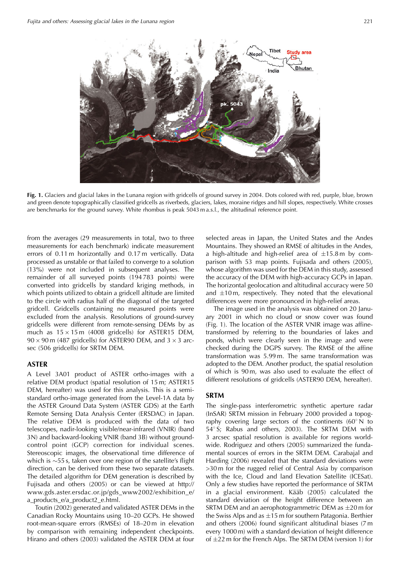

**Fig. 1.** Glaciers and glacial lakes in the Lunana region with gridcells of ground survey in 2004. Dots colored with red, purple, blue, brown and green denote topographically classified gridcells as riverbeds, glaciers, lakes, moraine ridges and hill slopes, respectively. White crosses are benchmarks for the ground survey. White rhombus is peak 5043 m a.s.l., the altitudinal reference point.

from the averages (29 measurements in total, two to three measurements for each benchmark) indicate measurement errors of 0.11 m horizontally and 0.17 m vertically. Data processed as unstable or that failed to converge to a solution (13%) were not included in subsequent analyses. The remainder of all surveyed points (194 783 points) were converted into gridcells by standard kriging methods, in which points utilized to obtain a gridcell altitude are limited to the circle with radius half of the diagonal of the targeted gridcell. Gridcells containing no measured points were excluded from the analysis. Resolutions of ground-survey gridcells were different from remote-sensing DEMs by as much as  $15 \times 15$  m (4008 gridcells) for ASTER15 DEM,  $90 \times 90$  m (487 gridcells) for ASTER90 DEM, and  $3 \times 3$  arcsec (506 gridcells) for SRTM DEM.

## **ASTER**

A Level 3A01 product of ASTER ortho-images with a relative DEM product (spatial resolution of 15 m; ASTER15 DEM, hereafter) was used for this analysis. This is a semistandard ortho-image generated from the Level-1A data by the ASTER Ground Data System (ASTER GDS) at the Earth Remote Sensing Data Analysis Center (ERSDAC) in Japan. The relative DEM is produced with the data of two telescopes, nadir-looking visible/near-infrared (VNIR) (band 3N) and backward-looking VNIR (band 3B) without groundcontrol point (GCP) correction for individual scenes. Stereoscopic images, the observational time difference of which is  $\sim$  55 s, taken over one region of the satellite's flight direction, can be derived from these two separate datasets. The detailed algorithm for DEM generation is described by Fujisada and others (2005) or can be viewed at http:// www.gds.aster.ersdac.or.jp/gds\_www2002/exhibition\_e/ a products e/a product2 e.html.

Toutin (2002) generated and validated ASTER DEMs in the Canadian Rocky Mountains using 10–20 GCPs. He showed root-mean-square errors (RMSEs) of 18–20 m in elevation by comparison with remaining independent checkpoints. Hirano and others (2003) validated the ASTER DEM at four

selected areas in Japan, the United States and the Andes Mountains. They showed an RMSE of altitudes in the Andes, a high-altitude and high-relief area of  $\pm 15.8 \,\mathrm{m}$  by comparison with 53 map points. Fujisada and others (2005), whose algorithm was used for the DEM in this study, assessed the accuracy of the DEM with high-accuracy GCPs in Japan. The horizontal geolocation and altitudinal accuracy were 50 and  $\pm$ 10 m, respectively. They noted that the elevational differences were more pronounced in high-relief areas.

The image used in the analysis was obtained on 20 January 2001 in which no cloud or snow cover was found (Fig. 1). The location of the ASTER VNIR image was affinetransformed by referring to the boundaries of lakes and ponds, which were clearly seen in the image and were checked during the DGPS survey. The RMSE of the affine transformation was 5.99 m. The same transformation was adopted to the DEM. Another product, the spatial resolution of which is 90 m, was also used to evaluate the effect of different resolutions of gridcells (ASTER90 DEM, hereafter).

## **SRTM**

The single-pass interferometric synthetic aperture radar (InSAR) SRTM mission in February 2000 provided a topography covering large sectors of the continents  $(60^\circ N$  to 54°S; Rabus and others, 2003). The SRTM DEM with 3 arcsec spatial resolution is available for regions worldwide. Rodriguez and others (2005) summarized the fundamental sources of errors in the SRTM DEM. Carabajal and Harding (2006) revealed that the standard deviations were >30 m for the rugged relief of Central Asia by comparison with the Ice, Cloud and land Elevation Satellite (ICESat). Only a few studies have reported the performance of SRTM in a glacial environment. Kääb (2005) calculated the standard deviation of the height difference between an SRTM DEM and an aerophotogrammetric DEM as  $\pm 20$  m for the Swiss Alps and as  $\pm 15$  m for southern Patagonia. Berthier and others (2006) found significant altitudinal biases (7 m every 1000 m) with a standard deviation of height difference of  $\pm$ 22 m for the French Alps. The SRTM DEM (version 1) for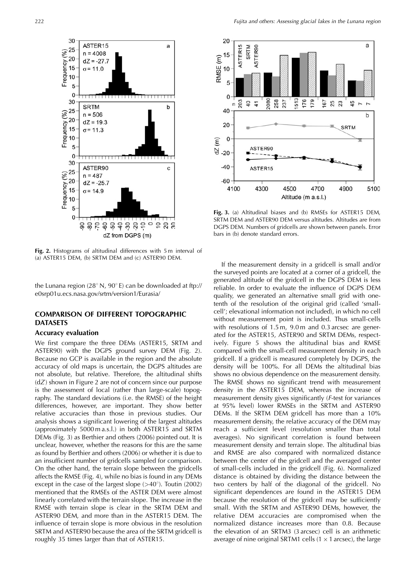

**Fig. 2.** Histograms of altitudinal differences with 5 m interval of (a) ASTER15 DEM, (b) SRTM DEM and (c) ASTER90 DEM.

the Lunana region (28 $\degree$  N, 90 $\degree$  E) can be downloaded at ftp:// e0srp01u.ecs.nasa.gov/srtm/version1/Eurasia/

## **COMPARISON OF DIFFERENT TOPOGRAPHIC DATASETS**

## **Accuracy evaluation**

We first compare the three DEMs (ASTER15, SRTM and ASTER90) with the DGPS ground survey DEM (Fig. 2). Because no GCP is available in the region and the absolute accuracy of old maps is uncertain, the DGPS altitudes are not absolute, but relative. Therefore, the altitudinal shifts  $(dZ)$  shown in Figure 2 are not of concern since our purpose is the assessment of local (rather than large-scale) topography. The standard deviations (i.e. the RMSE) of the height differences, however, are important. They show better relative accuracies than those in previous studies. Our analysis shows a significant lowering of the largest altitudes (approximately 5000 m a.s.l.) in both ASTER15 and SRTM DEMs (Fig. 3) as Berthier and others (2006) pointed out. It is unclear, however, whether the reasons for this are the same as found by Berthier and others (2006) or whether it is due to an insufficient number of gridcells sampled for comparison. On the other hand, the terrain slope between the gridcells affects the RMSE (Fig. 4), while no bias is found in any DEMs except in the case of the largest slope  $(>40^{\circ})$ . Toutin (2002) mentioned that the RMSEs of the ASTER DEM were almost linearly correlated with the terrain slope. The increase in the RMSE with terrain slope is clear in the SRTM DEM and ASTER90 DEM, and more than in the ASTER15 DEM. The influence of terrain slope is more obvious in the resolution SRTM and ASTER90 because the area of the SRTM gridcell is roughly 35 times larger than that of ASTER15.



**Fig. 3.** (a) Altitudinal biases and (b) RMSEs for ASTER15 DEM, SRTM DEM and ASTER90 DEM versus altitudes. Altitudes are from DGPS DEM. Numbers of gridcells are shown between panels. Error bars in (b) denote standard errors.

If the measurement density in a gridcell is small and/or the surveyed points are located at a corner of a gridcell, the generated altitude of the gridcell in the DGPS DEM is less reliable. In order to evaluate the influence of DGPS DEM quality, we generated an alternative small grid with onetenth of the resolution of the original grid (called 'smallcell'; elevational information not included), in which no cell without measurement point is included. Thus small-cells with resolutions of 1.5 m, 9.0 m and 0.3 arcsec are generated for the ASTER15, ASTER90 and SRTM DEMs, respectively. Figure 5 shows the altitudinal bias and RMSE compared with the small-cell measurement density in each gridcell. If a gridcell is measured completely by DGPS, the density will be 100%. For all DEMs the altitudinal bias shows no obvious dependence on the measurement density. The RMSE shows no significant trend with measurement density in the ASTER15 DEM, whereas the increase of measurement density gives significantly (F-test for variances at 95% level) lower RMSEs in the SRTM and ASTER90 DEMs. If the SRTM DEM gridcell has more than a 10% measurement density, the relative accuracy of the DEM may reach a sufficient level (resolution smaller than total averages). No significant correlation is found between measurement density and terrain slope. The altitudinal bias and RMSE are also compared with normalized distance between the center of the gridcell and the averaged center of small-cells included in the gridcell (Fig. 6). Normalized distance is obtained by dividing the distance between the two centers by half of the diagonal of the gridcell. No significant dependences are found in the ASTER15 DEM because the resolution of the gridcell may be sufficiently small. With the SRTM and ASTER90 DEMs, however, the relative DEM accuracies are compromised when the normalized distance increases more than 0.8. Because the elevation of an SRTM3 (3 arcsec) cell is an arithmetic average of nine original SRTM1 cells (1  $\times$  1 arcsec), the large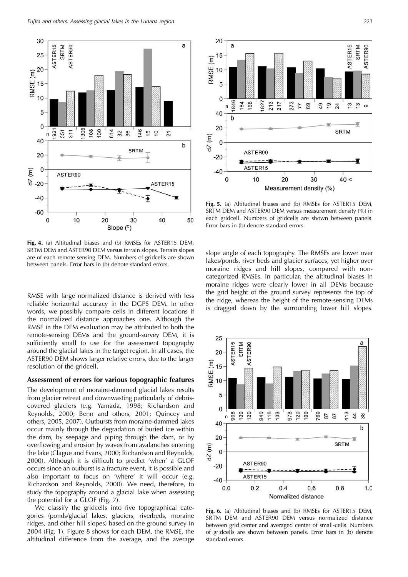



**Fig. 5.** (a) Altitudinal biases and (b) RMSEs for ASTER15 DEM, SRTM DEM and ASTER90 DEM versus measurement density (%) in each gridcell. Numbers of gridcells are shown between panels. Error bars in (b) denote standard errors.

**Fig. 4.** (a) Altitudinal biases and (b) RMSEs for ASTER15 DEM, SRTM DEM and ASTER90 DEM versus terrain slopes. Terrain slopes are of each remote-sensing DEM. Numbers of gridcells are shown between panels. Error bars in (b) denote standard errors.

RMSE with large normalized distance is derived with less reliable horizontal accuracy in the DGPS DEM. In other words, we possibly compare cells in different locations if the normalized distance approaches one. Although the RMSE in the DEM evaluation may be attributed to both the remote-sensing DEMs and the ground-survey DEM, it is sufficiently small to use for the assessment topography around the glacial lakes in the target region. In all cases, the ASTER90 DEM shows larger relative errors, due to the larger resolution of the gridcell.

## **Assessment of errors for various topographic features**

The development of moraine-dammed glacial lakes results from glacier retreat and downwasting particularly of debriscovered glaciers (e.g. Yamada, 1998; Richardson and Reynolds, 2000; Benn and others, 2001; Quincey and others, 2005, 2007). Outbursts from moraine-dammed lakes occur mainly through the degradation of buried ice within the dam, by seepage and piping through the dam, or by overflowing and erosion by waves from avalanches entering the lake (Clague and Evans, 2000; Richardson and Reynolds, 2000). Although it is difficult to predict 'when' a GLOF occurs since an outburst is a fracture event, it is possible and also important to focus on 'where' it will occur (e.g. Richardson and Reynolds, 2000). We need, therefore, to study the topography around a glacial lake when assessing the potential for a GLOF (Fig. 7).

We classify the gridcells into five topographical categories (ponds/glacial lakes, glaciers, riverbeds, moraine ridges, and other hill slopes) based on the ground survey in 2004 (Fig. 1). Figure 8 shows for each DEM, the RMSE, the altitudinal difference from the average, and the average

slope angle of each topography. The RMSEs are lower over lakes/ponds, river beds and glacier surfaces, yet higher over moraine ridges and hill slopes, compared with noncategorized RMSEs. In particular, the altitudinal biases in moraine ridges were clearly lower in all DEMs because the grid height of the ground survey represents the top of the ridge, whereas the height of the remote-sensing DEMs is dragged down by the surrounding lower hill slopes.



**Fig. 6.** (a) Altitudinal biases and (b) RMSEs for ASTER15 DEM, SRTM DEM and ASTER90 DEM versus normalized distance between grid center and averaged center of small-cells. Numbers of gridcells are shown between panels. Error bars in (b) denote standard errors.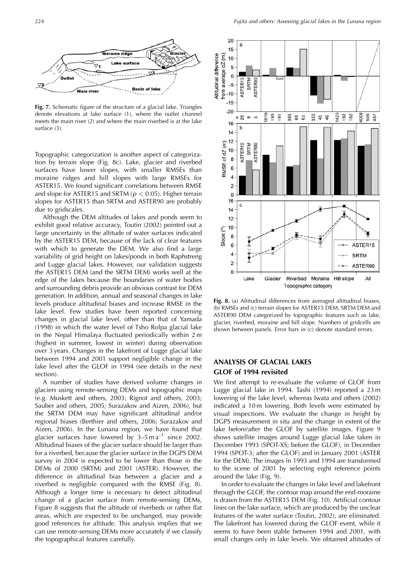

**Fig. 7.** Schematic figure of the structure of a glacial lake. Triangles denote elevations at lake surface (1), where the outlet channel meets the main river (2) and where the main riverbed is at the lake surface (3).

Topographic categorization is another aspect of categorization by terrain slope (Fig. 8c). Lake, glacier and riverbed surfaces have lower slopes, with smaller RMSEs than moraine ridges and hill slopes with large RMSEs for ASTER15. We found significant correlations between RMSE and slope for ASTER15 and SRTM (p *<* 0*:*05). Higher terrain slopes for ASTER15 than SRTM and ASTER90 are probably due to gridscales.

Although the DEM altitudes of lakes and ponds seem to exhibit good relative accuracy, Toutin (2002) pointed out a large uncertainty in the altitude of water surfaces indicated by the ASTER15 DEM, because of the lack of clear features with which to generate the DEM. We also find a large variability of grid height on lakes/ponds in both Raphstreng and Lugge glacial lakes. However, our validation suggests the ASTER15 DEM (and the SRTM DEM) works well at the edge of the lakes because the boundaries of water bodies and surrounding debris provide an obvious contrast for DEM generation. In addition, annual and seasonal changes in lake levels produce altitudinal biases and increase RMSE in the lake level. Few studies have been reported concerning changes in glacial lake level, other than that of Yamada (1998) in which the water level of Tsho Rolpa glacial lake in the Nepal Himalaya fluctuated periodically within 2 m (highest in summer, lowest in winter) during observation over 3 years. Changes in the lakefront of Lugge glacial lake between 1994 and 2001 support negligible change in the lake level after the GLOF in 1994 (see details in the next section).

A number of studies have derived volume changes in glaciers using remote-sensing DEMs and topographic maps (e.g. Muskett and others, 2003; Rignot and others, 2003; Sauber and others, 2005; Surazakov and Aizen, 2006), but the SRTM DEM may have significant altitudinal and/or regional biases (Berthier and others, 2006; Surazakov and Aizen, 2006). In the Lunana region, we have found that glacier surfaces have lowered  $\bar{b}y$  3–5 m a<sup>-1</sup> since 2002. Altitudinal biases of the glacier surface should be larger than for a riverbed, because the glacier surface in the DGPS DEM survey in 2004 is expected to be lower than those in the DEMs of 2000 (SRTM) and 2001 (ASTER). However, the difference in altitudinal bias between a glacier and a riverbed is negligible compared with the RMSE (Fig. 8). Although a longer time is necessary to detect altitudinal change of a glacier surface from remote-sensing DEMs, Figure 8 suggests that the altitude of riverbeds or rather flat areas, which are expected to be unchanged, may provide good references for altitude. This analysis implies that we can use remote-sensing DEMs more accurately if we classify the topographical features carefully.



**Fig. 8.** (a) Altitudinal differences from averaged altitudinal biases, (b) RMSEs and (c) terrain slopes for ASTER15 DEM, SRTM DEM and ASTER90 DEM categorized by topographic features such as lake, glacier, riverbed, moraine and hill slope. Numbers of gridcells are shown between panels. Error bars in (c) denote standard errors.

# **ANALYSIS OF GLACIAL LAKES GLOF of 1994 revisited**

We first attempt to re-evaluate the volume of GLOF from Lugge glacial lake in 1994. Tashi (1994) reported a 23 m lowering of the lake level, whereas Iwata and others (2002) indicated a 10 m lowering. Both levels were estimated by visual inspections. We evaluate the change in height by DGPS measurement in situ and the change in extent of the lake before/after the GLOF by satellite images. Figure 9 shows satellite images around Lugge glacial lake taken in December 1993 (SPOT-XS; before the GLOF), in December 1994 (SPOT-3; after the GLOF) and in January 2001 (ASTER for the DEM). The images in 1993 and 1994 are transformed to the scene of 2001 by selecting eight reference points around the lake (Fig. 9).

In order to evaluate the changes in lake level and lakefront through the GLOF, the contour map around the end-moraine is drawn from the ASTER15 DEM (Fig. 10). Artificial contour lines on the lake surface, which are produced by the unclear features of the water surface (Toutin, 2002), are eliminated. The lakefront has lowered during the GLOF event, while it seems to have been stable between 1994 and 2001, with small changes only in lake levels. We obtained altitudes of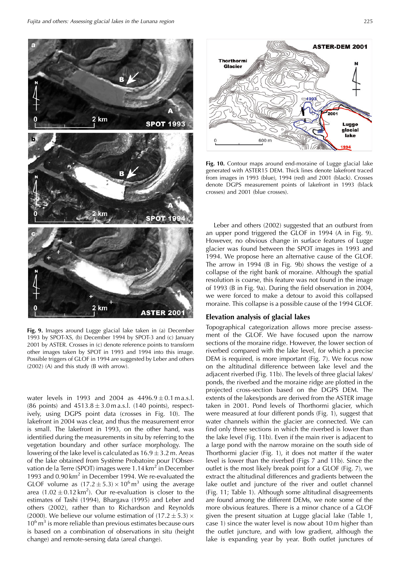

**Fig. 9.** Images around Lugge glacial lake taken in (a) December 1993 by SPOT-XS, (b) December 1994 by SPOT-3 and (c) January 2001 by ASTER. Crosses in (c) denote reference points to transform other images taken by SPOT in 1993 and 1994 into this image. Possible triggers of GLOF in 1994 are suggested by Leber and others (2002) (A) and this study (B with arrow).

water levels in 1993 and 2004 as  $4496.9 \pm 0.1$  ma.s.l. (86 points) and  $4513.8 \pm 3.0$  m a.s.l. (140 points), respectively, using DGPS point data (crosses in Fig. 10). The lakefront in 2004 was clear, and thus the measurement error is small. The lakefront in 1993, on the other hand, was identified during the measurements in situ by referring to the vegetation boundary and other surface morphology. The lowering of the lake level is calculated as  $16.9 \pm 3.2$  m. Areas of the lake obtained from Système Probatoire pour l'Observation de la Terre (SPOT) images were 1.14 km<sup>2</sup> in December 1993 and 0.90 km<sup>2</sup> in December 1994. We re-evaluated the GLOF volume as  $(17.2 \pm 5.3) \times 10^6 \text{ m}^3$  using the average area  $(1.02 \pm 0.12 \text{ km}^2)$ . Our re-evaluation is closer to the estimates of Tashi (1994), Bhargava (1995) and Leber and others (2002), rather than to Richardson and Reynolds (2000). We believe our volume estimation of  $(17.2 \pm 5.3) \times$  $10^6$  m<sup>3</sup> is more reliable than previous estimates because ours is based on a combination of observations in situ (height change) and remote-sensing data (areal change).



**Fig. 10.** Contour maps around end-moraine of Lugge glacial lake generated with ASTER15 DEM. Thick lines denote lakefront traced from images in 1993 (blue), 1994 (red) and 2001 (black). Crosses denote DGPS measurement points of lakefront in 1993 (black crosses) and 2001 (blue crosses).

Leber and others (2002) suggested that an outburst from an upper pond triggered the GLOF in 1994 (A in Fig. 9). However, no obvious change in surface features of Lugge glacier was found between the SPOT images in 1993 and 1994. We propose here an alternative cause of the GLOF. The arrow in 1994 (B in Fig. 9b) shows the vestige of a collapse of the right bank of moraine. Although the spatial resolution is coarse, this feature was not found in the image of 1993 (B in Fig. 9a). During the field observation in 2004, we were forced to make a detour to avoid this collapsed moraine. This collapse is a possible cause of the 1994 GLOF.

### **Elevation analysis of glacial lakes**

Topographical categorization allows more precise assessment of the GLOF. We have focused upon the narrow sections of the moraine ridge. However, the lower section of riverbed compared with the lake level, for which a precise DEM is required, is more important (Fig. 7). We focus now on the altitudinal difference between lake level and the adjacent riverbed (Fig. 11b). The levels of three glacial lakes/ ponds, the riverbed and the moraine ridge are plotted in the projected cross-section based on the DGPS DEM. The extents of the lakes/ponds are derived from the ASTER image taken in 2001. Pond levels of Thorthormi glacier, which were measured at four different ponds (Fig. 1), suggest that water channels within the glacier are connected. We can find only three sections in which the riverbed is lower than the lake level (Fig. 11b). Even if the main river is adjacent to a large pond with the narrow moraine on the south side of Thorthormi glacier (Fig. 1), it does not matter if the water level is lower than the riverbed (Figs 7 and 11b). Since the outlet is the most likely break point for a GLOF (Fig. 7), we extract the altitudinal differences and gradients between the lake outlet and juncture of the river and outlet channel (Fig. 11; Table 1). Although some altitudinal disagreements are found among the different DEMs, we note some of the more obvious features. There is a minor chance of a GLOF given the present situation at Lugge glacial lake (Table 1, case 1) since the water level is now about 10 m higher than the outlet juncture, and with low gradient, although the lake is expanding year by year. Both outlet junctures of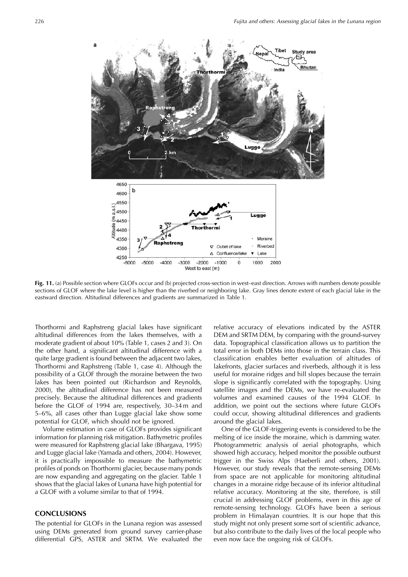

**Fig. 11.** (a) Possible section where GLOFs occur and (b) projected cross-section in west–east direction. Arrows with numbers denote possible sections of GLOF where the lake level is higher than the riverbed or neighboring lake. Gray lines denote extent of each glacial lake in the eastward direction. Altitudinal differences and gradients are summarized in Table 1.

Thorthormi and Raphstreng glacial lakes have significant altitudinal differences from the lakes themselves, with a moderate gradient of about 10% (Table 1, cases 2 and 3). On the other hand, a significant altitudinal difference with a quite large gradient is found between the adjacent two lakes, Thorthormi and Raphstreng (Table 1, case 4). Although the possibility of a GLOF through the moraine between the two lakes has been pointed out (Richardson and Reynolds, 2000), the altitudinal difference has not been measured precisely. Because the altitudinal differences and gradients before the GLOF of 1994 are, respectively, 30–34 m and 5–6%, all cases other than Lugge glacial lake show some potential for GLOF, which should not be ignored.

Volume estimation in case of GLOFs provides significant information for planning risk mitigation. Bathymetric profiles were measured for Raphstreng glacial lake (Bhargava, 1995) and Lugge glacial lake (Yamada and others, 2004). However, it is practically impossible to measure the bathymetric profiles of ponds on Thorthormi glacier, because many ponds are now expanding and aggregating on the glacier. Table 1 shows that the glacial lakes of Lunana have high potential for a GLOF with a volume similar to that of 1994.

## **CONCLUSIONS**

The potential for GLOFs in the Lunana region was assessed using DEMs generated from ground survey carrier-phase differential GPS, ASTER and SRTM. We evaluated the relative accuracy of elevations indicated by the ASTER DEM and SRTM DEM, by comparing with the ground-survey data. Topographical classification allows us to partition the total error in both DEMs into those in the terrain class. This classification enables better evaluation of altitudes of lakefronts, glacier surfaces and riverbeds, although it is less useful for moraine ridges and hill slopes because the terrain slope is significantly correlated with the topography. Using satellite images and the DEMs, we have re-evaluated the volumes and examined causes of the 1994 GLOF. In addition, we point out the sections where future GLOFs could occur, showing altitudinal differences and gradients around the glacial lakes.

One of the GLOF-triggering events is considered to be the melting of ice inside the moraine, which is damming water. Photogrammetric analysis of aerial photographs, which showed high accuracy, helped monitor the possible outburst trigger in the Swiss Alps (Haeberli and others, 2001). However, our study reveals that the remote-sensing DEMs from space are not applicable for monitoring altitudinal changes in a moraine ridge because of its inferior altitudinal relative accuracy. Monitoring at the site, therefore, is still crucial in addressing GLOF problems, even in this age of remote-sensing technology. GLOFs have been a serious problem in Himalayan countries. It is our hope that this study might not only present some sort of scientific advance, but also contribute to the daily lives of the local people who even now face the ongoing risk of GLOFs.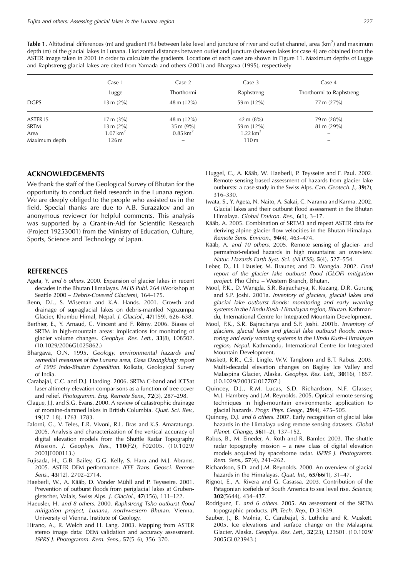Table 1. Altitudinal differences (m) and gradient (%) between lake level and juncture of river and outlet channel, area (km<sup>2</sup>) and maximum depth (m) of the glacial lakes in Lunana. Horizontal distances between outlet and juncture (between lakes for case 4) are obtained from the ASTER image taken in 2001 in order to calculate the gradients. Locations of each case are shown in Figure 11. Maximum depths of Lugge and Raphstreng glacial lakes are cited from Yamada and others (2001) and Bhargava (1995), respectively

| <b>DGPS</b>   | Case 1<br>Lugge<br>$13 \text{ m} (2\%)$ | Case 2<br>Thorthormi<br>$48 \text{ m} (12\%)$ | Case 3<br>Raphstreng<br>59 m $(12\%)$ | Case 4<br>Thorthormi to Raphstreng<br>$77 \text{ m} (27\%)$ |             |                      |                       |               |                       |
|---------------|-----------------------------------------|-----------------------------------------------|---------------------------------------|-------------------------------------------------------------|-------------|----------------------|-----------------------|---------------|-----------------------|
|               |                                         |                                               |                                       |                                                             | ASTER15     | $17 \text{ m} (3\%)$ | $48 \text{ m} (12\%)$ | 42 m $(8\%)$  | 79 m (28%)            |
|               |                                         |                                               |                                       |                                                             | <b>SRTM</b> | $13 \text{ m} (2\%)$ | $35 \text{ m} (9\%)$  | 59 m $(12\%)$ | $81 \text{ m} (29\%)$ |
| Area          | 1.07 $km^2$                             | $0.85 \,\mathrm{km}^2$                        | 1.22 $km^2$                           | $\overline{\phantom{0}}$                                    |             |                      |                       |               |                       |
| Maximum depth | 126m                                    |                                               | 110m                                  |                                                             |             |                      |                       |               |                       |

#### **ACKNOWLEDGEMENTS**

We thank the staff of the Geological Survey of Bhutan for the opportunity to conduct field research in the Lunana region. We are deeply obliged to the people who assisted us in the field. Special thanks are due to A.B. Surazakov and an anonymous reviewer for helpful comments. This analysis was supported by a Grant-in-Aid for Scientific Research (Project 19253001) from the Ministry of Education, Culture, Sports, Science and Technology of Japan.

#### **REFERENCES**

- Ageta, Y. and 6 others. 2000. Expansion of glacier lakes in recent decades in the Bhutan Himalayas. IAHS Publ. 264 (Workshop at Seattle 2000 – Debris-Covered Glaciers), 164–175.
- Benn, D.I., S. Wiseman and K.A. Hands. 2001. Growth and drainage of supraglacial lakes on debris-mantled Ngozumpa Glacier, Khumbu Himal, Nepal. J. Glaciol., **47**(159), 626–638.
- Berthier, E., Y. Arnaud, C. Vincent and F. Rémy. 2006. Biases of SRTM in high-mountain areas: implications for monitoring of glacier volume changes. Geophys. Res. Lett., **33**(8), L08502. (10.1029/2006GL025862.)
- Bhargava, O.N. 1995. Geology, environmental hazards and remedial measures of the Lunana area, Gasa Dzongkhag: report of 1995 Indo-Bhutan Expedition. Kolkata, Geological Survey of India.
- Carabajal, C.C. and D.J. Harding. 2006. SRTM C-band and ICESat laser altimetry elevation comparisons as a function of tree cover and relief. Photogramm. Eng. Remote Sens., **72**(3), 287–298.
- Clague, J.J. and S.G. Evans. 2000. A review of catastrophic drainage of moraine-dammed lakes in British Columbia. Quat. Sci. Rev., **19**(17–18), 1763–1783.
- Falorni, G., V. Teles, E.R. Vivoni, R.L. Bras and K.S. Amaratunga. 2005. Analysis and characterization of the vertical accuracy of digital elevation models from the Shuttle Radar Topography Mission. J. Geophys. Res., **110**(F2), F02005. (10.1029/ 2003JF000113.)
- Fujisada, H., G.B. Bailey, G.G. Kelly, S. Hara and M.J. Abrams. 2005. ASTER DEM performance. IEEE Trans. Geosci. Remote Sens., **43**(12), 2702–2714.
- Haeberli, W., A. Kääb, D. Vonder Mühll and P. Teysseire. 2001. Prevention of outburst floods from periglacial lakes at Grubengletscher, Valais, Swiss Alps. J. Glaciol., **47**(156), 111–122.
- Haeusler, H. and 8 others. 2000. Raphstreng Tsho outburst flood mitigation project, Lunana, northwestern Bhutan. Vienna, University of Vienna. Institute of Geology.
- Hirano, A., R. Welch and H. Lang. 2003. Mapping from ASTER stereo image data: DEM validation and accuracy assessment. ISPRS J. Photogramm. Rem. Sens., **57**(5–6), 356–370.
- Huggel, C., A. Kääb, W. Haeberli, P. Teysseire and F. Paul. 2002. Remote sensing based assessment of hazards from glacier lake outbursts: a case study in the Swiss Alps. Can. Geotech. J., **39**(2), 316–330.
- Iwata, S., Y. Ageta, N. Naito, A. Sakai, C. Narama and Karma. 2002. Glacial lakes and their outburst flood assessment in the Bhutan Himalaya. Global Environ. Res., **6**(1), 3–17.
- Kääb, A. 2005. Combination of SRTM3 and repeat ASTER data for deriving alpine glacier flow velocities in the Bhutan Himalaya. Remote Sens. Environ., **94**(4), 463–474.
- Kääb, A. and 10 others. 2005. Remote sensing of glacier- and permafrost-related hazards in high mountains: an overview. Natur. Hazards Earth Syst. Sci. (NHESS), **5**(4), 527–554.
- Leber, D., H. Häusler, M. Brauner, and D. Wangda. 2002. Final report of the glacier lake outburst flood (GLOF) mitigation project. Pho Chhu – Western Branch, Bhutan.
- Mool, P.K., D. Wangda, S.R. Bajracharya, K. Kuzang, D.R. Gurung and S.P. Joshi. 2001a. Inventory of glaciers, glacial lakes and glacial lake outburst floods: monitoring and early warning systems in the Hindu Kush–Himalayan region, Bhutan. Kathmandu, International Centre for Integrated Mountain Development.
- Mool, P.K., S.R. Bajracharya and S.P. Joshi. 2001b. Inventory of glaciers, glacial lakes and glacial lake outburst floods: monitoring and early warning systems in the Hindu Kush–Himalayan region, Nepal. Kathmandu, International Centre for Integrated Mountain Development.
- Muskett, R.R., C.S. Lingle, W.V. Tangborn and B.T. Rabus. 2003. Multi-decadal elevation changes on Bagley Ice Valley and Malaspina Glacier, Alaska. Geophys. Res. Lett., **30**(16), 1857. (10.1029/2003GL017707.)
- Quincey, D.J., R.M. Lucas, S.D. Richardson, N.F. Glasser, M.J. Hambrey and J.M. Reynolds. 2005. Optical remote sensing techniques in high-mountain environments: application to glacial hazards. Progr. Phys. Geogr., **29**(4), 475–505.
- Quincey, D.J. and 6 others. 2007. Early recognition of glacial lake hazards in the Himalaya using remote sensing datasets. Global Planet. Change, **56**(1–2), 137–152.
- Rabus, B., M. Eineder, A. Roth and R. Bamler. 2003. The shuttle radar topography mission – a new class of digital elevation models acquired by spaceborne radar. ISPRS J. Photogramm. Rem. Sens., **57**(4), 241–262.
- Richardson, S.D. and J.M. Reynolds. 2000. An overview of glacial hazards in the Himalayas. Quat. Int., **65/66**(1), 31–47.
- Rignot, E., A. Rivera and G. Casassa. 2003. Contribution of the Patagonian icefields of South America to sea level rise. Science, **302**(5644), 434–437.
- Rodriguez, E. and 6 others. 2005. An assessment of the SRTM topographic products. JPL Tech. Rep., D-31639.
- Sauber, J., B. Molnia, C. Carabajal, S. Luthcke and R. Muskett. 2005. Ice elevations and surface change on the Malaspina Glacier, Alaska. Geophys. Res. Lett., **32**(23), L23S01. (10.1029/ 2005GL023943.)